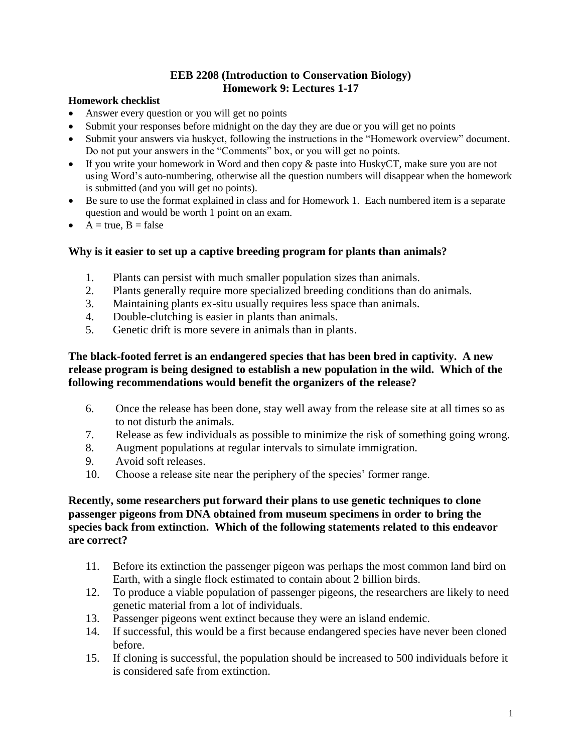#### **EEB 2208 (Introduction to Conservation Biology) Homework 9: Lectures 1-17**

#### **Homework checklist**

- Answer every question or you will get no points
- Submit your responses before midnight on the day they are due or you will get no points
- Submit your answers via huskyct, following the instructions in the "Homework overview" document. Do not put your answers in the "Comments" box, or you will get no points.
- If you write your homework in Word and then copy & paste into HuskyCT, make sure you are not using Word's auto-numbering, otherwise all the question numbers will disappear when the homework is submitted (and you will get no points).
- Be sure to use the format explained in class and for Homework 1. Each numbered item is a separate question and would be worth 1 point on an exam.
- $A = true, B = false$

## **Why is it easier to set up a captive breeding program for plants than animals?**

- 1. Plants can persist with much smaller population sizes than animals.
- 2. Plants generally require more specialized breeding conditions than do animals.
- 3. Maintaining plants ex-situ usually requires less space than animals.
- 4. Double-clutching is easier in plants than animals.
- 5. Genetic drift is more severe in animals than in plants.

## **The black-footed ferret is an endangered species that has been bred in captivity. A new release program is being designed to establish a new population in the wild. Which of the following recommendations would benefit the organizers of the release?**

- 6. Once the release has been done, stay well away from the release site at all times so as to not disturb the animals.
- 7. Release as few individuals as possible to minimize the risk of something going wrong.
- 8. Augment populations at regular intervals to simulate immigration.
- 9. Avoid soft releases.
- 10. Choose a release site near the periphery of the species' former range.

## **Recently, some researchers put forward their plans to use genetic techniques to clone passenger pigeons from DNA obtained from museum specimens in order to bring the species back from extinction. Which of the following statements related to this endeavor are correct?**

- 11. Before its extinction the passenger pigeon was perhaps the most common land bird on Earth, with a single flock estimated to contain about 2 billion birds.
- 12. To produce a viable population of passenger pigeons, the researchers are likely to need genetic material from a lot of individuals.
- 13. Passenger pigeons went extinct because they were an island endemic.
- 14. If successful, this would be a first because endangered species have never been cloned before.
- 15. If cloning is successful, the population should be increased to 500 individuals before it is considered safe from extinction.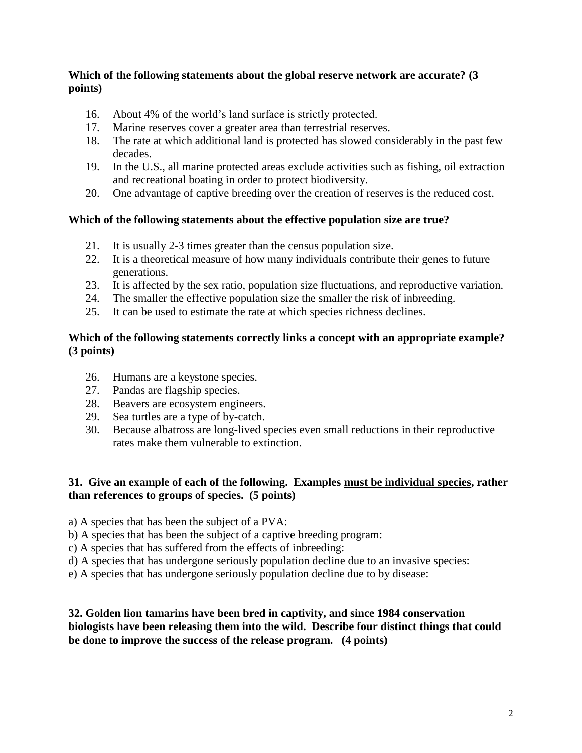### **Which of the following statements about the global reserve network are accurate? (3 points)**

- 16. About 4% of the world's land surface is strictly protected.
- 17. Marine reserves cover a greater area than terrestrial reserves.
- 18. The rate at which additional land is protected has slowed considerably in the past few decades.
- 19. In the U.S., all marine protected areas exclude activities such as fishing, oil extraction and recreational boating in order to protect biodiversity.
- 20. One advantage of captive breeding over the creation of reserves is the reduced cost.

## **Which of the following statements about the effective population size are true?**

- 21. It is usually 2-3 times greater than the census population size.
- 22. It is a theoretical measure of how many individuals contribute their genes to future generations.
- 23. It is affected by the sex ratio, population size fluctuations, and reproductive variation.
- 24. The smaller the effective population size the smaller the risk of inbreeding.
- 25. It can be used to estimate the rate at which species richness declines.

## **Which of the following statements correctly links a concept with an appropriate example? (3 points)**

- 26. Humans are a keystone species.
- 27. Pandas are flagship species.
- 28. Beavers are ecosystem engineers.
- 29. Sea turtles are a type of by-catch.
- 30. Because albatross are long-lived species even small reductions in their reproductive rates make them vulnerable to extinction.

### **31. Give an example of each of the following. Examples must be individual species, rather than references to groups of species. (5 points)**

- a) A species that has been the subject of a PVA:
- b) A species that has been the subject of a captive breeding program:
- c) A species that has suffered from the effects of inbreeding:
- d) A species that has undergone seriously population decline due to an invasive species:
- e) A species that has undergone seriously population decline due to by disease:

### **32. Golden lion tamarins have been bred in captivity, and since 1984 conservation biologists have been releasing them into the wild. Describe four distinct things that could be done to improve the success of the release program. (4 points)**